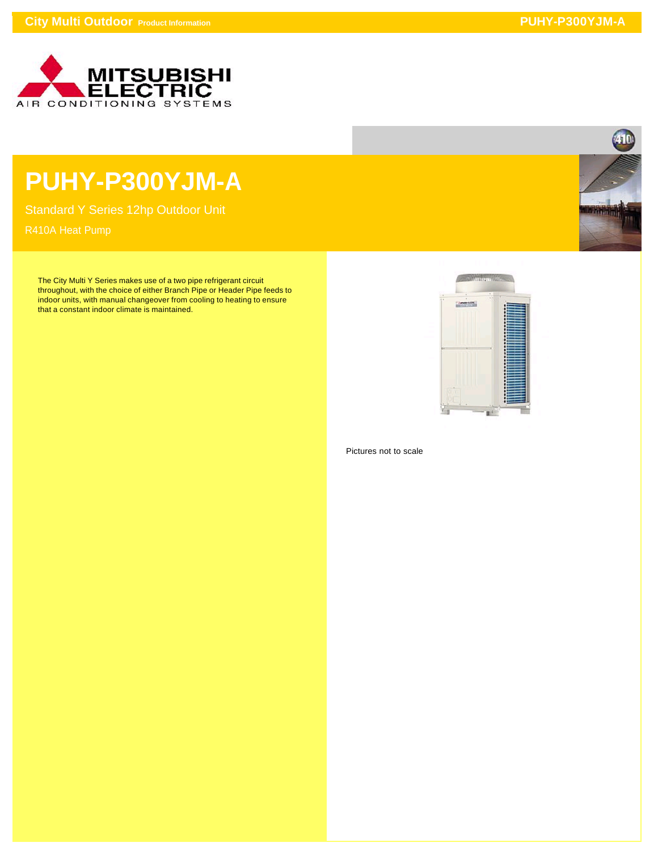

## **PUHY-P300YJM-A**

Standard Y Series 12hp Outdoor Unit

The City Multi Y Series makes use of a two pipe refrigerant circuit throughout, with the choice of either Branch Pipe or Header Pipe feeds to indoor units, with manual changeover from cooling to heating to ensure that a constant indoor climate is maintained.



Pictures not to scale